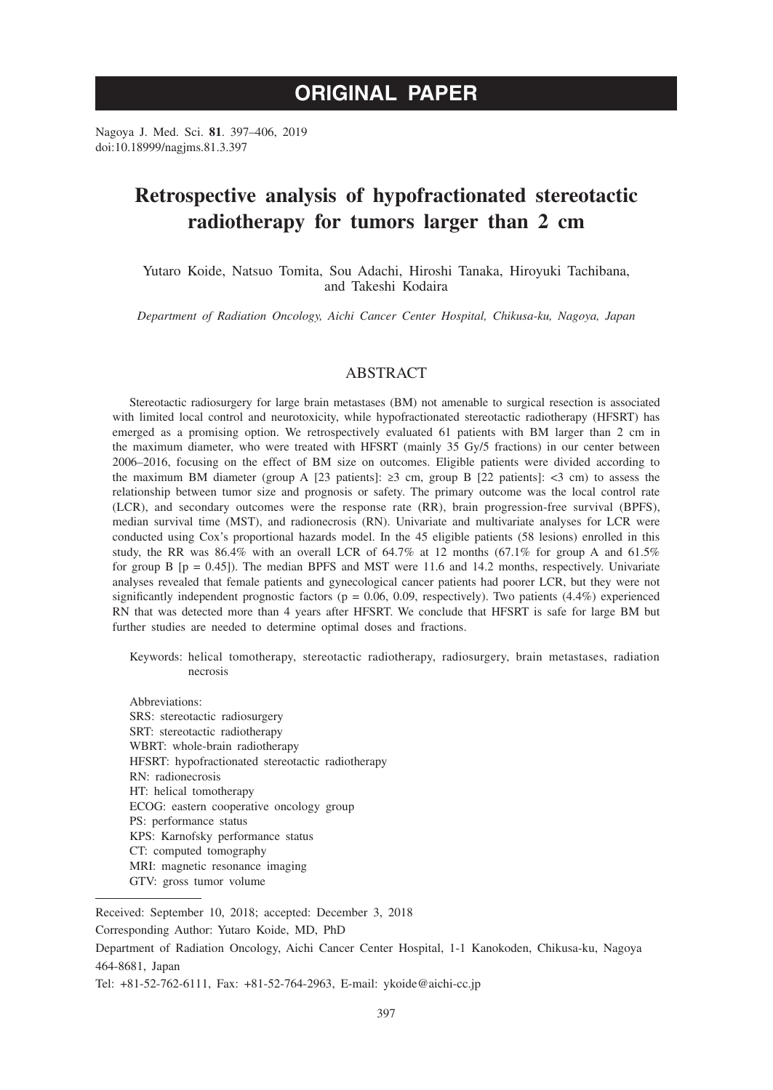# **ORIGINAL PAPER**

Nagoya J. Med. Sci. **81**. 397–406, 2019 doi:10.18999/nagjms.81.3.397

# **Retrospective analysis of hypofractionated stereotactic radiotherapy for tumors larger than 2 cm**

Yutaro Koide, Natsuo Tomita, Sou Adachi, Hiroshi Tanaka, Hiroyuki Tachibana, and Takeshi Kodaira

*Department of Radiation Oncology, Aichi Cancer Center Hospital, Chikusa-ku, Nagoya, Japan*

# ABSTRACT

Stereotactic radiosurgery for large brain metastases (BM) not amenable to surgical resection is associated with limited local control and neurotoxicity, while hypofractionated stereotactic radiotherapy (HFSRT) has emerged as a promising option. We retrospectively evaluated 61 patients with BM larger than 2 cm in the maximum diameter, who were treated with HFSRT (mainly 35 Gy/5 fractions) in our center between 2006–2016, focusing on the effect of BM size on outcomes. Eligible patients were divided according to the maximum BM diameter (group A [23 patients]:  $\geq$ 3 cm, group B [22 patients]:  $\lt$ 3 cm) to assess the relationship between tumor size and prognosis or safety. The primary outcome was the local control rate (LCR), and secondary outcomes were the response rate (RR), brain progression-free survival (BPFS), median survival time (MST), and radionecrosis (RN). Univariate and multivariate analyses for LCR were conducted using Cox's proportional hazards model. In the 45 eligible patients (58 lesions) enrolled in this study, the RR was 86.4% with an overall LCR of 64.7% at 12 months (67.1% for group A and 61.5% for group B  $[p = 0.45]$ ). The median BPFS and MST were 11.6 and 14.2 months, respectively. Univariate analyses revealed that female patients and gynecological cancer patients had poorer LCR, but they were not significantly independent prognostic factors ( $p = 0.06, 0.09$ , respectively). Two patients (4.4%) experienced RN that was detected more than 4 years after HFSRT. We conclude that HFSRT is safe for large BM but further studies are needed to determine optimal doses and fractions.

Keywords: helical tomotherapy, stereotactic radiotherapy, radiosurgery, brain metastases, radiation necrosis

Abbreviations: SRS: stereotactic radiosurgery SRT: stereotactic radiotherapy WBRT: whole-brain radiotherapy HFSRT: hypofractionated stereotactic radiotherapy RN: radionecrosis HT: helical tomotherapy ECOG: eastern cooperative oncology group PS: performance status KPS: Karnofsky performance status CT: computed tomography MRI: magnetic resonance imaging GTV: gross tumor volume

Received: September 10, 2018; accepted: December 3, 2018

Corresponding Author: Yutaro Koide, MD, PhD

Department of Radiation Oncology, Aichi Cancer Center Hospital, 1-1 Kanokoden, Chikusa-ku, Nagoya 464-8681, Japan

Tel: +81-52-762-6111, Fax: +81-52-764-2963, E-mail: ykoide@aichi-cc.jp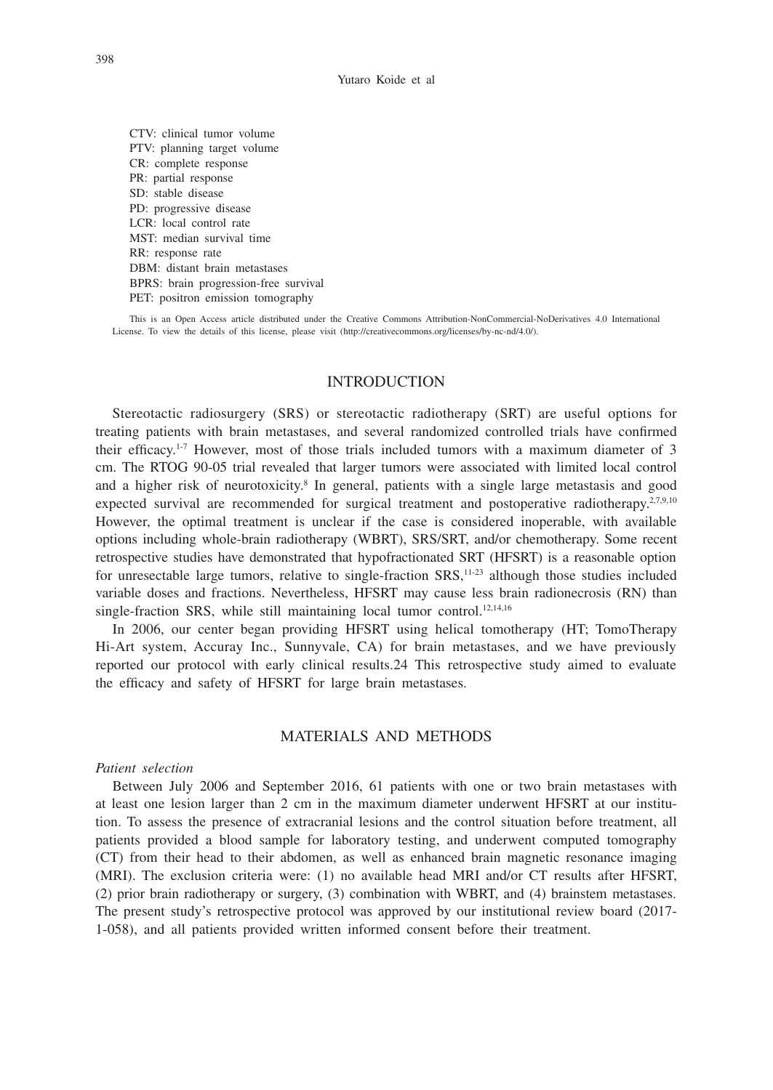CTV: clinical tumor volume PTV: planning target volume CR: complete response PR: partial response SD: stable disease PD: progressive disease LCR: local control rate MST: median survival time RR: response rate DBM: distant brain metastases BPRS: brain progression-free survival PET: positron emission tomography

This is an Open Access article distributed under the Creative Commons Attribution-NonCommercial-NoDerivatives 4.0 International License. To view the details of this license, please visit (http://creativecommons.org/licenses/by-nc-nd/4.0/).

# INTRODUCTION

Stereotactic radiosurgery (SRS) or stereotactic radiotherapy (SRT) are useful options for treating patients with brain metastases, and several randomized controlled trials have confirmed their efficacy.<sup>1-7</sup> However, most of those trials included tumors with a maximum diameter of 3 cm. The RTOG 90-05 trial revealed that larger tumors were associated with limited local control and a higher risk of neurotoxicity.<sup>8</sup> In general, patients with a single large metastasis and good expected survival are recommended for surgical treatment and postoperative radiotherapy.<sup>2,7,9,10</sup> However, the optimal treatment is unclear if the case is considered inoperable, with available options including whole-brain radiotherapy (WBRT), SRS/SRT, and/or chemotherapy. Some recent retrospective studies have demonstrated that hypofractionated SRT (HFSRT) is a reasonable option for unresectable large tumors, relative to single-fraction  $SRS$ ,<sup>11-23</sup> although those studies included variable doses and fractions. Nevertheless, HFSRT may cause less brain radionecrosis (RN) than single-fraction SRS, while still maintaining local tumor control.<sup>12,14,16</sup>

In 2006, our center began providing HFSRT using helical tomotherapy (HT; TomoTherapy Hi-Art system, Accuray Inc., Sunnyvale, CA) for brain metastases, and we have previously reported our protocol with early clinical results.24 This retrospective study aimed to evaluate the efficacy and safety of HFSRT for large brain metastases.

## MATERIALS AND METHODS

#### *Patient selection*

Between July 2006 and September 2016, 61 patients with one or two brain metastases with at least one lesion larger than 2 cm in the maximum diameter underwent HFSRT at our institution. To assess the presence of extracranial lesions and the control situation before treatment, all patients provided a blood sample for laboratory testing, and underwent computed tomography (CT) from their head to their abdomen, as well as enhanced brain magnetic resonance imaging (MRI). The exclusion criteria were: (1) no available head MRI and/or CT results after HFSRT, (2) prior brain radiotherapy or surgery, (3) combination with WBRT, and (4) brainstem metastases. The present study's retrospective protocol was approved by our institutional review board (2017- 1-058), and all patients provided written informed consent before their treatment.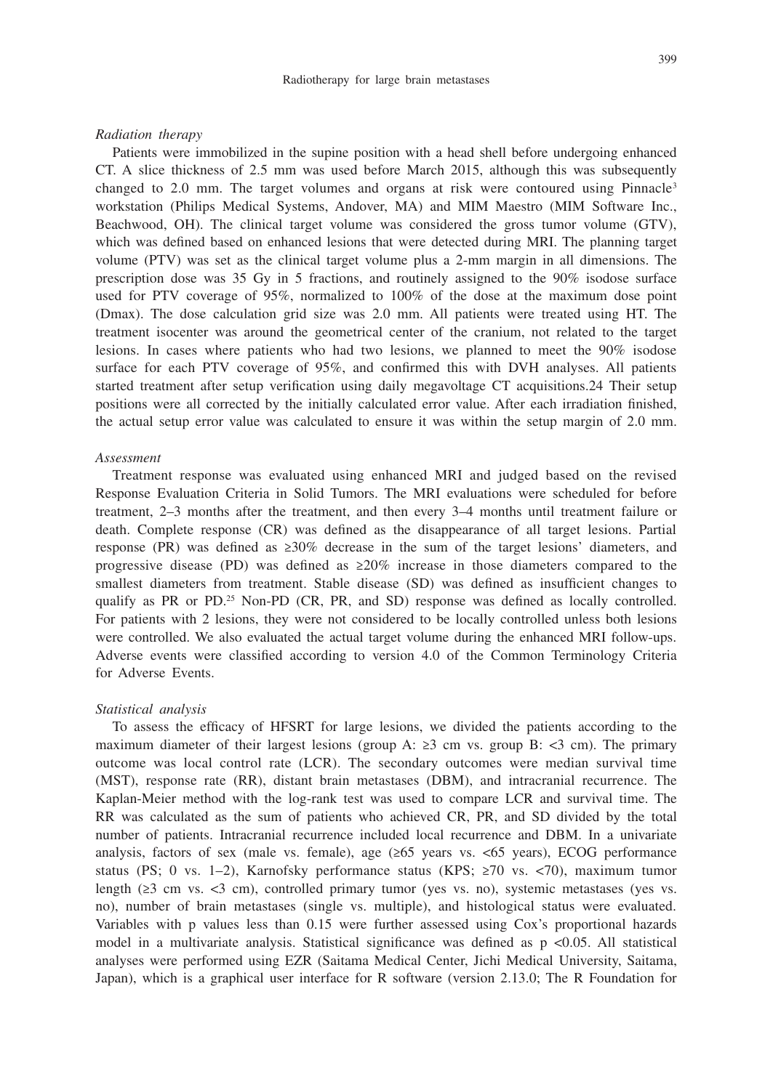#### *Radiation therapy*

Patients were immobilized in the supine position with a head shell before undergoing enhanced CT. A slice thickness of 2.5 mm was used before March 2015, although this was subsequently changed to 2.0 mm. The target volumes and organs at risk were contoured using Pinnacle<sup>3</sup> workstation (Philips Medical Systems, Andover, MA) and MIM Maestro (MIM Software Inc., Beachwood, OH). The clinical target volume was considered the gross tumor volume (GTV), which was defined based on enhanced lesions that were detected during MRI. The planning target volume (PTV) was set as the clinical target volume plus a 2-mm margin in all dimensions. The prescription dose was 35 Gy in 5 fractions, and routinely assigned to the 90% isodose surface used for PTV coverage of 95%, normalized to 100% of the dose at the maximum dose point (Dmax). The dose calculation grid size was 2.0 mm. All patients were treated using HT. The treatment isocenter was around the geometrical center of the cranium, not related to the target lesions. In cases where patients who had two lesions, we planned to meet the 90% isodose surface for each PTV coverage of 95%, and confirmed this with DVH analyses. All patients started treatment after setup verification using daily megavoltage CT acquisitions.24 Their setup positions were all corrected by the initially calculated error value. After each irradiation finished, the actual setup error value was calculated to ensure it was within the setup margin of 2.0 mm.

#### *Assessment*

Treatment response was evaluated using enhanced MRI and judged based on the revised Response Evaluation Criteria in Solid Tumors. The MRI evaluations were scheduled for before treatment, 2–3 months after the treatment, and then every 3–4 months until treatment failure or death. Complete response (CR) was defined as the disappearance of all target lesions. Partial response (PR) was defined as ≥30% decrease in the sum of the target lesions' diameters, and progressive disease (PD) was defined as  $\geq 20\%$  increase in those diameters compared to the smallest diameters from treatment. Stable disease (SD) was defined as insufficient changes to qualify as PR or PD.25 Non-PD (CR, PR, and SD) response was defined as locally controlled. For patients with 2 lesions, they were not considered to be locally controlled unless both lesions were controlled. We also evaluated the actual target volume during the enhanced MRI follow-ups. Adverse events were classified according to version 4.0 of the Common Terminology Criteria for Adverse Events.

## *Statistical analysis*

To assess the efficacy of HFSRT for large lesions, we divided the patients according to the maximum diameter of their largest lesions (group A:  $\geq 3$  cm vs. group B:  $\lt 3$  cm). The primary outcome was local control rate (LCR). The secondary outcomes were median survival time (MST), response rate (RR), distant brain metastases (DBM), and intracranial recurrence. The Kaplan-Meier method with the log-rank test was used to compare LCR and survival time. The RR was calculated as the sum of patients who achieved CR, PR, and SD divided by the total number of patients. Intracranial recurrence included local recurrence and DBM. In a univariate analysis, factors of sex (male vs. female), age (≥65 years vs. <65 years), ECOG performance status (PS; 0 vs. 1–2), Karnofsky performance status (KPS; ≥70 vs. <70), maximum tumor length (≥3 cm vs. <3 cm), controlled primary tumor (yes vs. no), systemic metastases (yes vs. no), number of brain metastases (single vs. multiple), and histological status were evaluated. Variables with p values less than 0.15 were further assessed using Cox's proportional hazards model in a multivariate analysis. Statistical significance was defined as  $p \le 0.05$ . All statistical analyses were performed using EZR (Saitama Medical Center, Jichi Medical University, Saitama, Japan), which is a graphical user interface for R software (version 2.13.0; The R Foundation for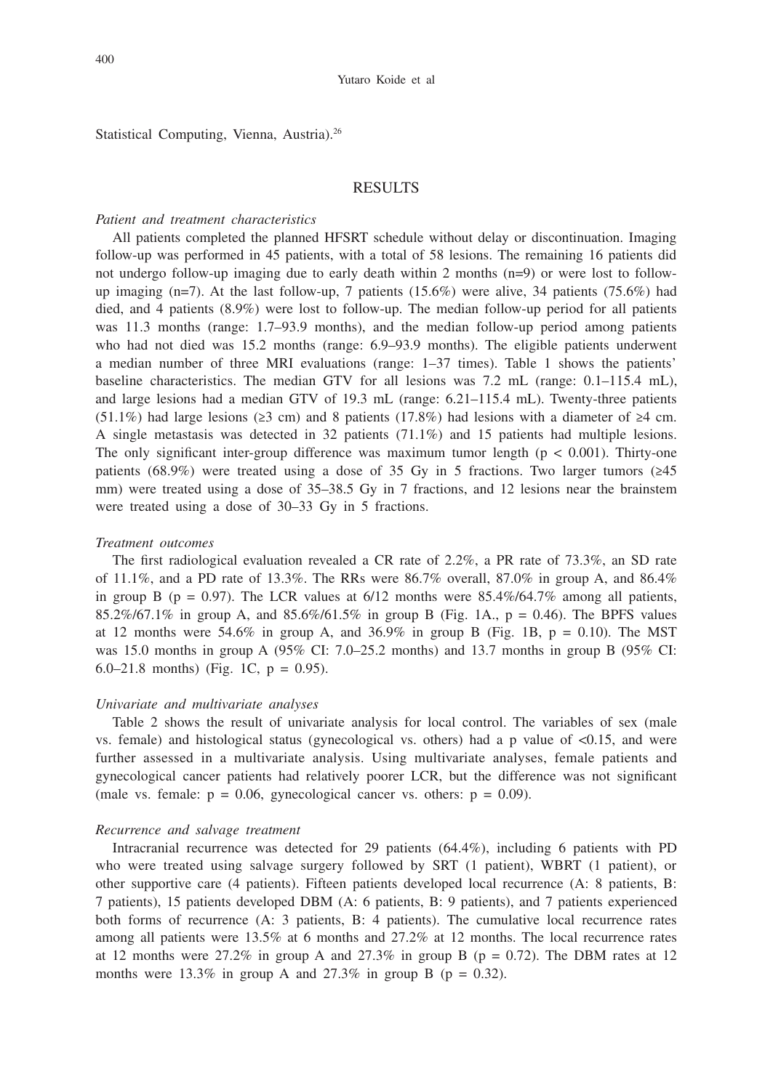#### Yutaro Koide et al

Statistical Computing, Vienna, Austria).<sup>26</sup>

#### RESULTS

## *Patient and treatment characteristics*

All patients completed the planned HFSRT schedule without delay or discontinuation. Imaging follow-up was performed in 45 patients, with a total of 58 lesions. The remaining 16 patients did not undergo follow-up imaging due to early death within 2 months (n=9) or were lost to followup imaging  $(n=7)$ . At the last follow-up, 7 patients (15.6%) were alive, 34 patients (75.6%) had died, and 4 patients (8.9%) were lost to follow-up. The median follow-up period for all patients was 11.3 months (range: 1.7–93.9 months), and the median follow-up period among patients who had not died was 15.2 months (range: 6.9–93.9 months). The eligible patients underwent a median number of three MRI evaluations (range: 1–37 times). Table 1 shows the patients' baseline characteristics. The median GTV for all lesions was 7.2 mL (range: 0.1–115.4 mL), and large lesions had a median GTV of 19.3 mL (range: 6.21–115.4 mL). Twenty-three patients (51.1%) had large lesions ( $\geq$ 3 cm) and 8 patients (17.8%) had lesions with a diameter of  $\geq$ 4 cm. A single metastasis was detected in 32 patients (71.1%) and 15 patients had multiple lesions. The only significant inter-group difference was maximum tumor length ( $p < 0.001$ ). Thirty-one patients (68.9%) were treated using a dose of 35 Gy in 5 fractions. Two larger tumors ( $\geq 45$ ) mm) were treated using a dose of 35–38.5 Gy in 7 fractions, and 12 lesions near the brainstem were treated using a dose of 30–33 Gy in 5 fractions.

### *Treatment outcomes*

The first radiological evaluation revealed a CR rate of 2.2%, a PR rate of 73.3%, an SD rate of 11.1%, and a PD rate of 13.3%. The RRs were  $86.7\%$  overall, 87.0% in group A, and  $86.4\%$ in group B (p = 0.97). The LCR values at  $6/12$  months were  $85.4\%/64.7\%$  among all patients, 85.2%/67.1% in group A, and 85.6%/61.5% in group B (Fig. 1A.,  $p = 0.46$ ). The BPFS values at 12 months were 54.6% in group A, and 36.9% in group B (Fig. 1B,  $p = 0.10$ ). The MST was 15.0 months in group A ( $95\%$  CI: 7.0–25.2 months) and 13.7 months in group B ( $95\%$  CI: 6.0–21.8 months) (Fig. 1C,  $p = 0.95$ ).

#### *Univariate and multivariate analyses*

Table 2 shows the result of univariate analysis for local control. The variables of sex (male vs. female) and histological status (gynecological vs. others) had a p value of <0.15, and were further assessed in a multivariate analysis. Using multivariate analyses, female patients and gynecological cancer patients had relatively poorer LCR, but the difference was not significant (male vs. female:  $p = 0.06$ , gynecological cancer vs. others:  $p = 0.09$ ).

#### *Recurrence and salvage treatment*

Intracranial recurrence was detected for 29 patients (64.4%), including 6 patients with PD who were treated using salvage surgery followed by SRT (1 patient), WBRT (1 patient), or other supportive care (4 patients). Fifteen patients developed local recurrence (A: 8 patients, B: 7 patients), 15 patients developed DBM (A: 6 patients, B: 9 patients), and 7 patients experienced both forms of recurrence (A: 3 patients, B: 4 patients). The cumulative local recurrence rates among all patients were 13.5% at 6 months and 27.2% at 12 months. The local recurrence rates at 12 months were 27.2% in group A and 27.3% in group B ( $p = 0.72$ ). The DBM rates at 12 months were 13.3% in group A and 27.3% in group B ( $p = 0.32$ ).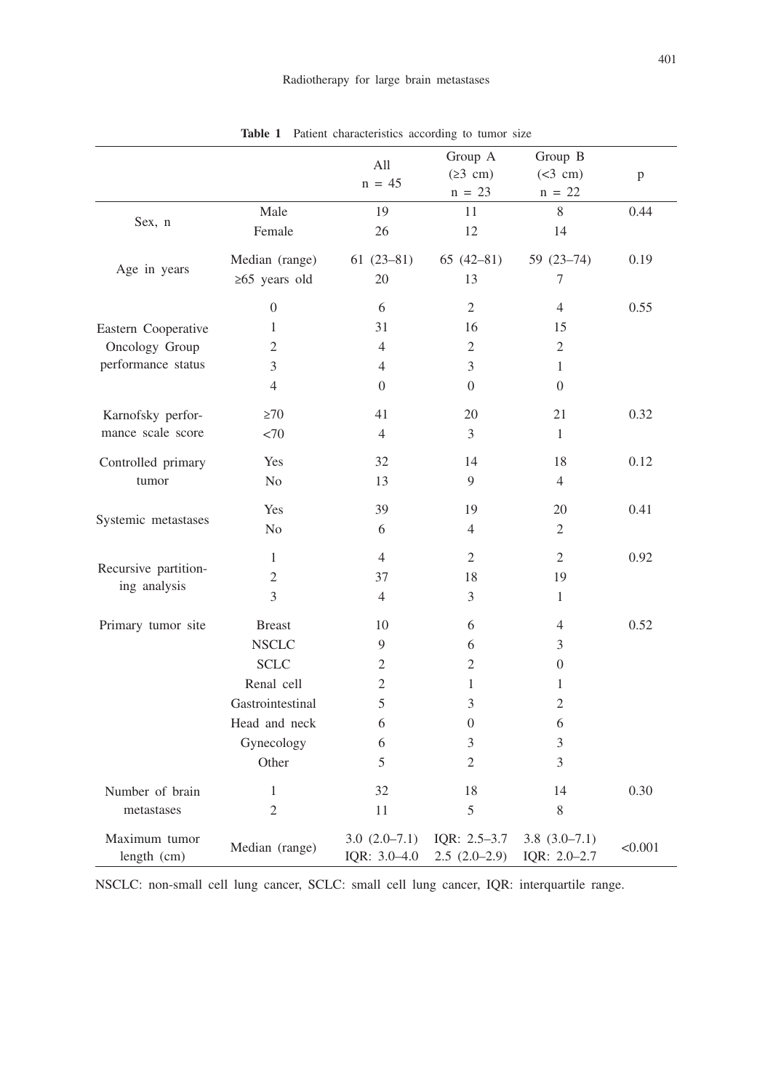|                                      |                     | All<br>$n = 45$                | Group A<br>(23 cm)             | Group B<br>(<3 cm)             | p       |
|--------------------------------------|---------------------|--------------------------------|--------------------------------|--------------------------------|---------|
|                                      |                     |                                | $n = 23$                       | $n = 22$                       |         |
| Sex, n                               | Male                | 19                             | 11                             | 8                              | 0.44    |
|                                      | Female              | 26                             | 12                             | 14                             |         |
| Age in years                         | Median (range)      | $61(23-81)$                    | $65(42-81)$                    | 59 (23-74)                     | 0.19    |
|                                      | $\geq 65$ years old | 20                             | 13                             | 7                              |         |
|                                      | $\boldsymbol{0}$    | 6                              | $\mathfrak{2}$                 | $\overline{4}$                 | 0.55    |
| Eastern Cooperative                  | $\mathbf{1}$        | 31                             | 16                             | 15                             |         |
| Oncology Group                       | 2                   | $\overline{4}$                 | $\mathfrak{2}$                 | 2                              |         |
| performance status                   | 3                   | $\overline{4}$                 | 3                              | 1                              |         |
|                                      | $\overline{4}$      | $\Omega$                       | $\overline{0}$                 | $\Omega$                       |         |
| Karnofsky perfor-                    | $\geq 70$           | 41                             | 20                             | 21                             | 0.32    |
| mance scale score                    | <70                 | $\overline{4}$                 | 3                              | $\mathbf{1}$                   |         |
| Controlled primary                   | Yes                 | 32                             | 14                             | 18                             | 0.12    |
| tumor                                | No                  | 13                             | 9                              | $\overline{4}$                 |         |
|                                      | Yes                 | 39                             | 19                             | 20                             | 0.41    |
| Systemic metastases                  | No                  | 6                              | 4                              | 2                              |         |
|                                      | $\mathbf{1}$        | $\overline{4}$                 | 2                              | $\overline{2}$                 | 0.92    |
| Recursive partition-<br>ing analysis | $\mathfrak{2}$      | 37                             | 18                             | 19                             |         |
|                                      | 3                   | $\overline{4}$                 | 3                              | 1                              |         |
| Primary tumor site                   | <b>Breast</b>       | 10                             | 6                              | 4                              | 0.52    |
|                                      | <b>NSCLC</b>        | 9                              | 6                              | 3                              |         |
|                                      | <b>SCLC</b>         | 2                              | $\overline{c}$                 | $\overline{0}$                 |         |
|                                      | Renal cell          | $\overline{2}$                 | 1                              | 1                              |         |
|                                      | Gastrointestinal    | 5                              | 3                              | 2                              |         |
|                                      | Head and neck       | 6                              | $\overline{0}$                 | 6                              |         |
|                                      | Gynecology          | 6                              | 3                              | 3                              |         |
|                                      | Other               | 5                              | 2                              | 3                              |         |
| Number of brain                      | 1                   | 32                             | 18                             | 14                             | 0.30    |
| metastases                           | $\overline{2}$      | 11                             | 5                              | 8                              |         |
| Maximum tumor<br>length (cm)         | Median (range)      | $3.0(2.0-7.1)$<br>IQR: 3.0-4.0 | IQR: 2.5-3.7<br>$2.5(2.0-2.9)$ | $3.8(3.0-7.1)$<br>IQR: 2.0-2.7 | < 0.001 |

**Table 1** Patient characteristics according to tumor size

NSCLC: non-small cell lung cancer, SCLC: small cell lung cancer, IQR: interquartile range.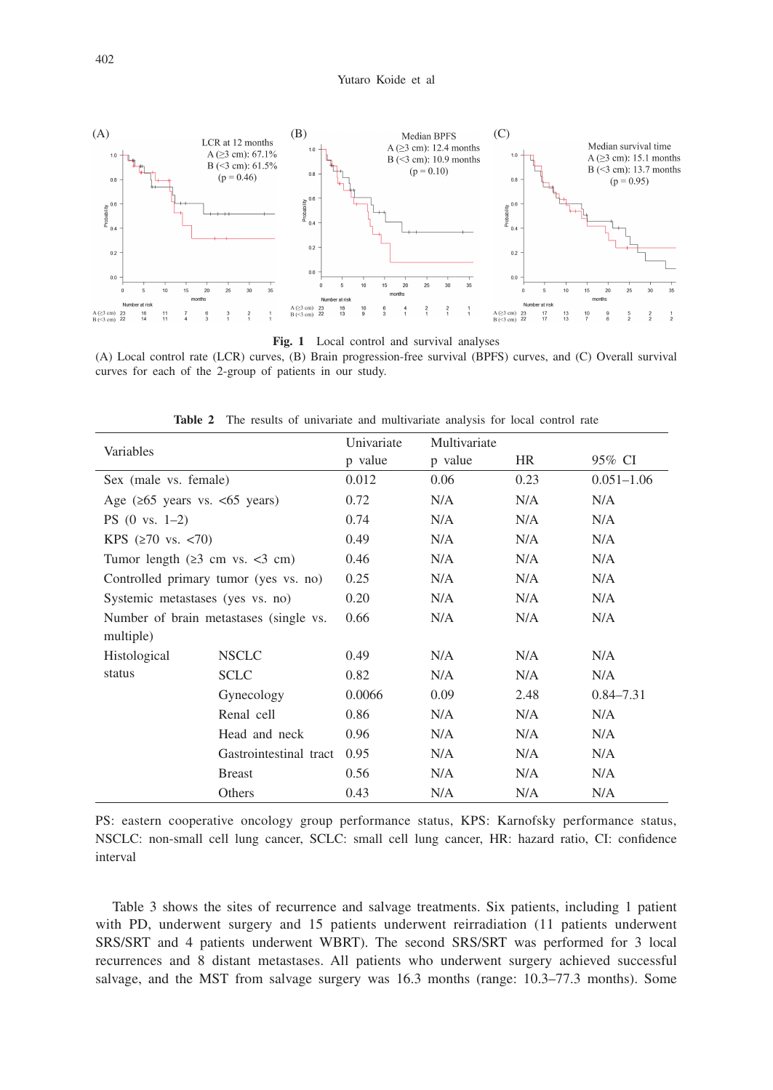

**Fig. 1** Local control and survival analyses

(A) Local control rate (LCR) curves, (B) Brain progression-free survival (BPFS) curves, and (C) Overall survival curves for each of the 2-group of patients in our study.

| Variables                                          |                                       | Univariate | Multivariate |           |                |
|----------------------------------------------------|---------------------------------------|------------|--------------|-----------|----------------|
|                                                    |                                       | p value    | p value      | <b>HR</b> | 95% CI         |
| Sex (male vs. female)                              |                                       | 0.012      | 0.06         | 0.23      | $0.051 - 1.06$ |
| Age $(265 \text{ years vs. } 65 \text{ years})$    |                                       | 0.72       | N/A          | N/A       | N/A            |
| $PS(0 \text{ vs. } 1-2)$                           |                                       | 0.74       | N/A          | N/A       | N/A            |
| KPS $(270 \text{ vs. } 70)$                        |                                       | 0.49       | N/A          | N/A       | N/A            |
| Tumor length $(23 \text{ cm vs. } < 3 \text{ cm})$ |                                       | 0.46       | N/A          | N/A       | N/A            |
|                                                    | Controlled primary tumor (yes vs. no) | 0.25       | N/A          | N/A       | N/A            |
| Systemic metastases (yes vs. no)                   |                                       | 0.20       | N/A          | N/A       | N/A            |
| Number of brain metastases (single vs.             |                                       | 0.66       | N/A          | N/A       | N/A            |
| multiple)                                          |                                       |            |              |           |                |
| <b>Histological</b>                                | <b>NSCLC</b>                          | 0.49       | N/A          | N/A       | N/A            |
| status                                             | <b>SCLC</b>                           | 0.82       | N/A          | N/A       | N/A            |
|                                                    | Gynecology                            | 0.0066     | 0.09         | 2.48      | $0.84 - 7.31$  |
|                                                    | Renal cell                            | 0.86       | N/A          | N/A       | N/A            |
|                                                    | Head and neck                         | 0.96       | N/A          | N/A       | N/A            |
|                                                    | Gastrointestinal tract                | 0.95       | N/A          | N/A       | N/A            |
|                                                    | <b>Breast</b>                         | 0.56       | N/A          | N/A       | N/A            |
|                                                    | Others                                | 0.43       | N/A          | N/A       | N/A            |

**Table 2** The results of univariate and multivariate analysis for local control rate

PS: eastern cooperative oncology group performance status, KPS: Karnofsky performance status, NSCLC: non-small cell lung cancer, SCLC: small cell lung cancer, HR: hazard ratio, CI: confidence interval

Table 3 shows the sites of recurrence and salvage treatments. Six patients, including 1 patient with PD, underwent surgery and 15 patients underwent reirradiation (11 patients underwent SRS/SRT and 4 patients underwent WBRT). The second SRS/SRT was performed for 3 local recurrences and 8 distant metastases. All patients who underwent surgery achieved successful salvage, and the MST from salvage surgery was 16.3 months (range: 10.3–77.3 months). Some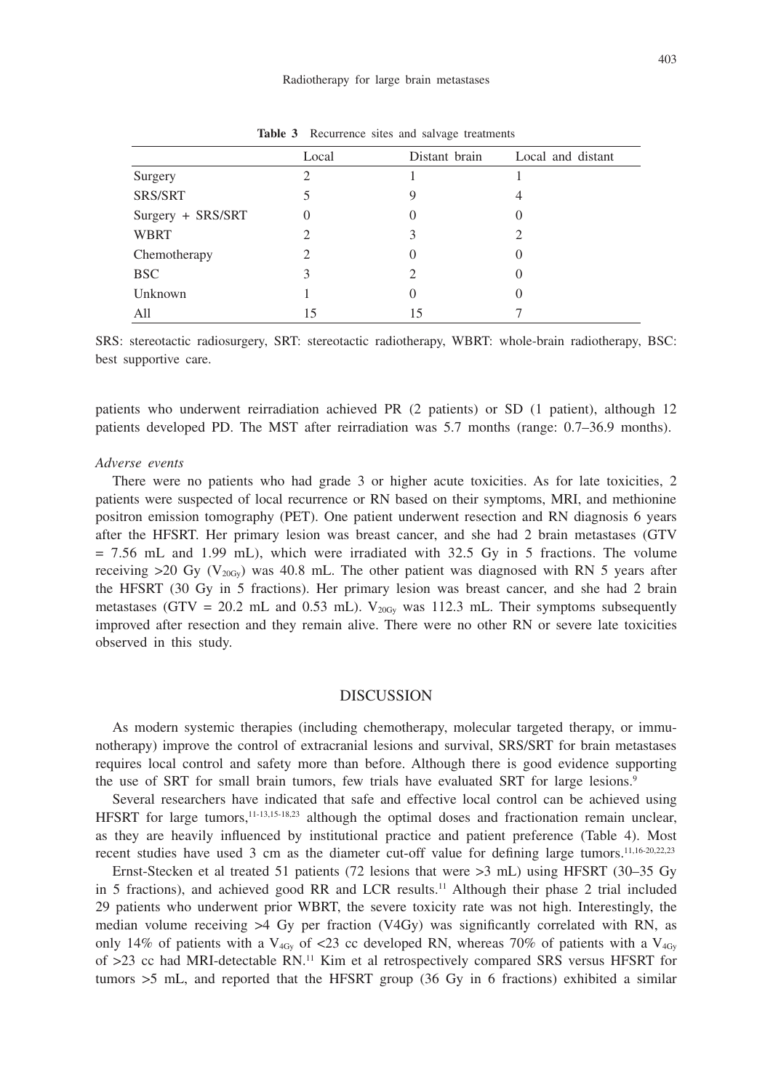|                   | Local | Distant brain | Local and distant |
|-------------------|-------|---------------|-------------------|
| Surgery           |       |               |                   |
| <b>SRS/SRT</b>    |       |               |                   |
| Surgery + SRS/SRT |       |               |                   |
| <b>WBRT</b>       |       |               |                   |
| Chemotherapy      |       |               |                   |
| <b>BSC</b>        | 3     |               |                   |
| Unknown           |       |               |                   |
| All               | 15    |               |                   |

Table 3 Recurrence sites and salvage treatments

SRS: stereotactic radiosurgery, SRT: stereotactic radiotherapy, WBRT: whole-brain radiotherapy, BSC: best supportive care.

patients who underwent reirradiation achieved PR (2 patients) or SD (1 patient), although 12 patients developed PD. The MST after reirradiation was 5.7 months (range: 0.7–36.9 months).

#### *Adverse events*

There were no patients who had grade 3 or higher acute toxicities. As for late toxicities, 2 patients were suspected of local recurrence or RN based on their symptoms, MRI, and methionine positron emission tomography (PET). One patient underwent resection and RN diagnosis 6 years after the HFSRT. Her primary lesion was breast cancer, and she had 2 brain metastases (GTV  $= 7.56$  mL and 1.99 mL), which were irradiated with 32.5 Gy in 5 fractions. The volume receiving  $>20$  Gy (V<sub>20Gy</sub>) was 40.8 mL. The other patient was diagnosed with RN 5 years after the HFSRT (30 Gy in 5 fractions). Her primary lesion was breast cancer, and she had 2 brain metastases (GTV = 20.2 mL and 0.53 mL).  $V_{20Gy}$  was 112.3 mL. Their symptoms subsequently improved after resection and they remain alive. There were no other RN or severe late toxicities observed in this study.

# **DISCUSSION**

As modern systemic therapies (including chemotherapy, molecular targeted therapy, or immunotherapy) improve the control of extracranial lesions and survival, SRS/SRT for brain metastases requires local control and safety more than before. Although there is good evidence supporting the use of SRT for small brain tumors, few trials have evaluated SRT for large lesions.<sup>9</sup>

Several researchers have indicated that safe and effective local control can be achieved using HFSRT for large tumors,11-13,15-18,23 although the optimal doses and fractionation remain unclear, as they are heavily influenced by institutional practice and patient preference (Table 4). Most recent studies have used 3 cm as the diameter cut-off value for defining large tumors.<sup>11,16-20,22,23</sup>

Ernst-Stecken et al treated 51 patients (72 lesions that were >3 mL) using HFSRT (30–35 Gy in 5 fractions), and achieved good RR and LCR results.11 Although their phase 2 trial included 29 patients who underwent prior WBRT, the severe toxicity rate was not high. Interestingly, the median volume receiving >4 Gy per fraction (V4Gy) was significantly correlated with RN, as only 14% of patients with a V<sub>4Gy</sub> of <23 cc developed RN, whereas 70% of patients with a V<sub>4Gy</sub> of >23 cc had MRI-detectable RN.<sup>11</sup> Kim et al retrospectively compared SRS versus HFSRT for tumors >5 mL, and reported that the HFSRT group (36 Gy in 6 fractions) exhibited a similar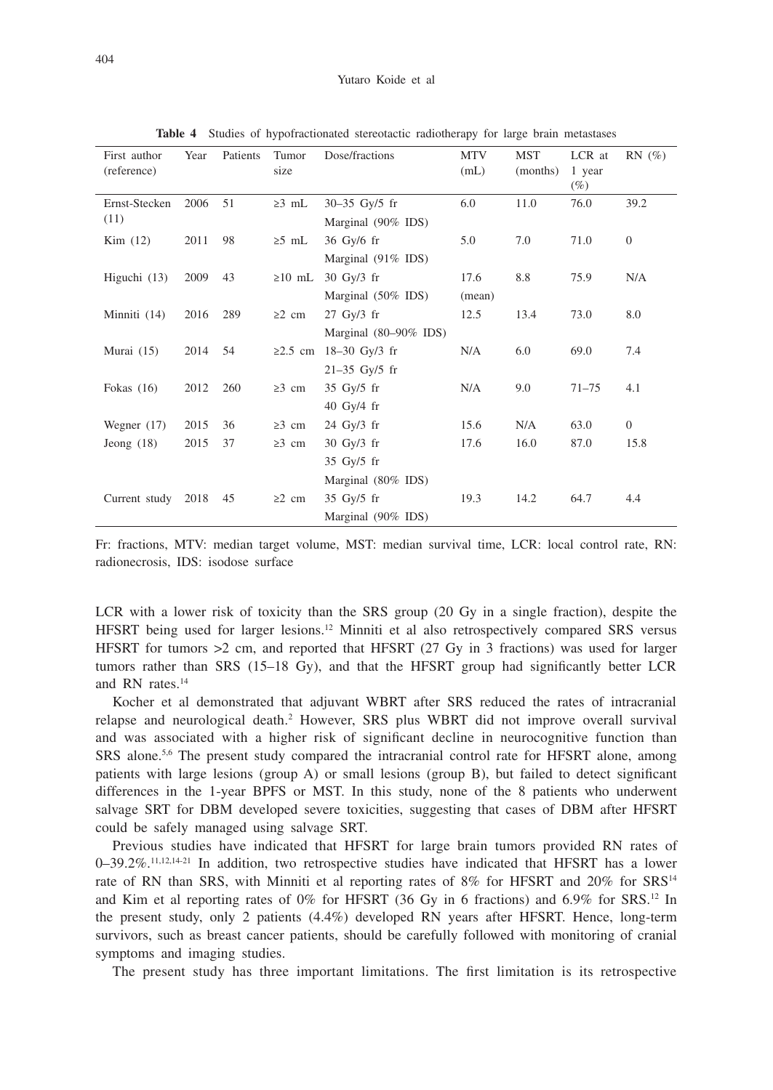| First author<br>(reference) | Year | Patients | Tumor<br>size | Dose/fractions                                                   | MTV<br>(mL)    | <b>MST</b><br>(months) | LCR at<br>1 year<br>$(\%)$ | $RN(\%)$     |
|-----------------------------|------|----------|---------------|------------------------------------------------------------------|----------------|------------------------|----------------------------|--------------|
| Ernst-Stecken<br>(11)       | 2006 | 51       | $\geq 3$ mL   | $30 - 35$ Gy/5 fr<br>Marginal (90% IDS)                          | 6.0            | 11.0                   | 76.0                       | 39.2         |
| Kim (12)                    | 2011 | 98       | $\geq 5$ mL   | $36$ Gy/6 fr<br>Marginal $(91\%$ IDS)                            | 5.0            | 7.0                    | 71.0                       | $\mathbf{0}$ |
| Higuchi $(13)$              | 2009 | 43       | $\geq 10$ mL  | $30 \text{ Gy}/3 \text{ fr}$<br>Marginal (50% IDS)               | 17.6<br>(mean) | 8.8                    | 75.9                       | N/A          |
| Minniti (14)                | 2016 | 289      | $\geq 2$ cm   | $27 \text{ Gy}/3 \text{ fr}$<br>Marginal $(80-90\%$ IDS)         | 12.5           | 13.4                   | 73.0                       | 8.0          |
| Murai $(15)$                | 2014 | 54       |               | ≥2.5 cm 18–30 Gy/3 fr<br>$21 - 35$ Gy/5 fr                       | N/A            | 6.0                    | 69.0                       | 7.4          |
| Fokas $(16)$                | 2012 | 260      | $\geq$ 3 cm   | $35$ Gy/ $5$ fr<br>$40$ Gy/4 fr                                  | N/A            | 9.0                    | $71 - 75$                  | 4.1          |
| Wegner $(17)$               | 2015 | 36       | $\geq$ 3 cm   | $24$ Gy/ $3$ fr                                                  | 15.6           | N/A                    | 63.0                       | $\mathbf{0}$ |
| Jeong $(18)$                | 2015 | 37       | $\geq$ 3 cm   | $30 \text{ Gy}/3 \text{ fr}$<br>35 Gy/5 fr<br>Marginal (80% IDS) | 17.6           | 16.0                   | 87.0                       | 15.8         |
| Current study               | 2018 | 45       | $\geq 2$ cm   | $35 \text{ Gy}/5 \text{ fr}$<br>Marginal (90% IDS)               | 19.3           | 14.2                   | 64.7                       | 4.4          |

**Table 4** Studies of hypofractionated stereotactic radiotherapy for large brain metastases

Fr: fractions, MTV: median target volume, MST: median survival time, LCR: local control rate, RN: radionecrosis, IDS: isodose surface

LCR with a lower risk of toxicity than the SRS group (20 Gy in a single fraction), despite the HFSRT being used for larger lesions.<sup>12</sup> Minniti et al also retrospectively compared SRS versus HFSRT for tumors  $>2$  cm, and reported that HFSRT (27 Gy in 3 fractions) was used for larger tumors rather than SRS (15–18 Gy), and that the HFSRT group had significantly better LCR and RN rates.<sup>14</sup>

Kocher et al demonstrated that adjuvant WBRT after SRS reduced the rates of intracranial relapse and neurological death.<sup>2</sup> However, SRS plus WBRT did not improve overall survival and was associated with a higher risk of significant decline in neurocognitive function than SRS alone.<sup>5,6</sup> The present study compared the intracranial control rate for HFSRT alone, among patients with large lesions (group A) or small lesions (group B), but failed to detect significant differences in the 1-year BPFS or MST. In this study, none of the 8 patients who underwent salvage SRT for DBM developed severe toxicities, suggesting that cases of DBM after HFSRT could be safely managed using salvage SRT.

Previous studies have indicated that HFSRT for large brain tumors provided RN rates of 0–39.2%.11,12,14-21 In addition, two retrospective studies have indicated that HFSRT has a lower rate of RN than SRS, with Minniti et al reporting rates of 8% for HFSRT and 20% for SRS<sup>14</sup> and Kim et al reporting rates of 0% for HFSRT (36 Gy in 6 fractions) and 6.9% for SRS.<sup>12</sup> In the present study, only 2 patients (4.4%) developed RN years after HFSRT. Hence, long-term survivors, such as breast cancer patients, should be carefully followed with monitoring of cranial symptoms and imaging studies.

The present study has three important limitations. The first limitation is its retrospective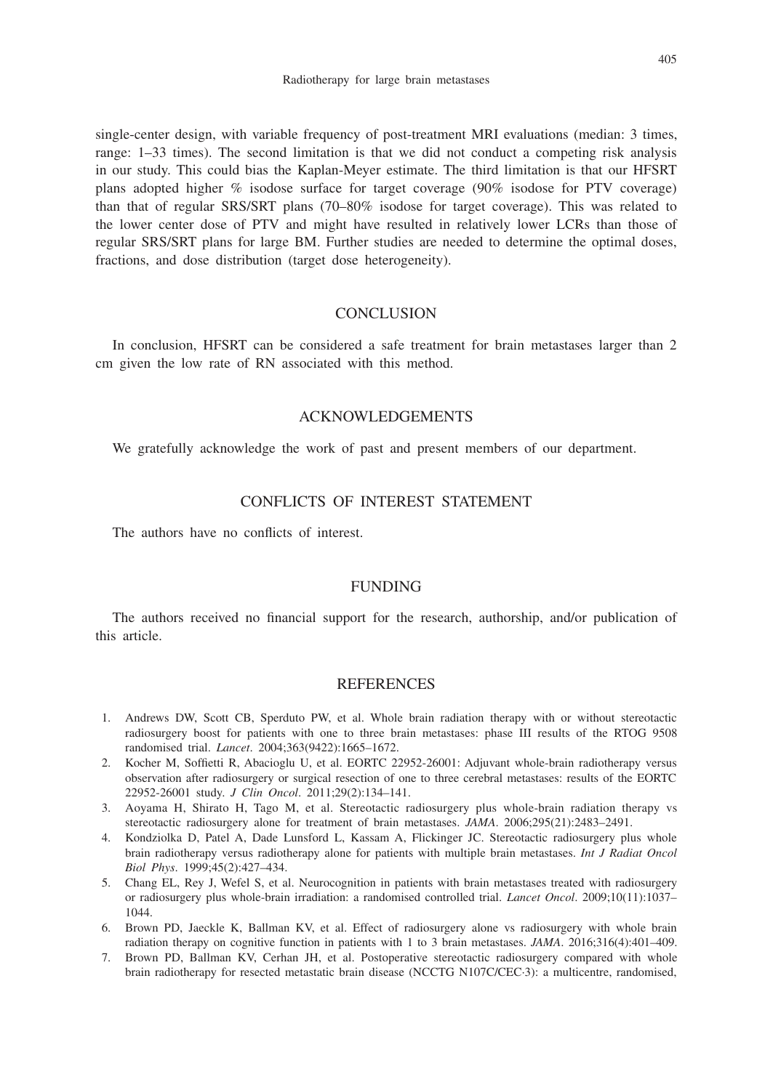single-center design, with variable frequency of post-treatment MRI evaluations (median: 3 times, range: 1–33 times). The second limitation is that we did not conduct a competing risk analysis in our study. This could bias the Kaplan-Meyer estimate. The third limitation is that our HFSRT plans adopted higher % isodose surface for target coverage (90% isodose for PTV coverage) than that of regular SRS/SRT plans (70–80% isodose for target coverage). This was related to the lower center dose of PTV and might have resulted in relatively lower LCRs than those of regular SRS/SRT plans for large BM. Further studies are needed to determine the optimal doses, fractions, and dose distribution (target dose heterogeneity).

# **CONCLUSION**

In conclusion, HFSRT can be considered a safe treatment for brain metastases larger than 2 cm given the low rate of RN associated with this method.

# ACKNOWLEDGEMENTS

We gratefully acknowledge the work of past and present members of our department.

# CONFLICTS OF INTEREST STATEMENT

The authors have no conflicts of interest.

# FUNDING

The authors received no financial support for the research, authorship, and/or publication of this article.

## REFERENCES

- 1. Andrews DW, Scott CB, Sperduto PW, et al. Whole brain radiation therapy with or without stereotactic radiosurgery boost for patients with one to three brain metastases: phase III results of the RTOG 9508 randomised trial. *Lancet*. 2004;363(9422):1665–1672.
- 2. Kocher M, Soffietti R, Abacioglu U, et al. EORTC 22952-26001: Adjuvant whole-brain radiotherapy versus observation after radiosurgery or surgical resection of one to three cerebral metastases: results of the EORTC 22952-26001 study. *J Clin Oncol*. 2011;29(2):134–141.
- 3. Aoyama H, Shirato H, Tago M, et al. Stereotactic radiosurgery plus whole-brain radiation therapy vs stereotactic radiosurgery alone for treatment of brain metastases. *JAMA*. 2006;295(21):2483–2491.
- 4. Kondziolka D, Patel A, Dade Lunsford L, Kassam A, Flickinger JC. Stereotactic radiosurgery plus whole brain radiotherapy versus radiotherapy alone for patients with multiple brain metastases. *Int J Radiat Oncol Biol Phys*. 1999;45(2):427–434.
- 5. Chang EL, Rey J, Wefel S, et al. Neurocognition in patients with brain metastases treated with radiosurgery or radiosurgery plus whole-brain irradiation: a randomised controlled trial. *Lancet Oncol*. 2009;10(11):1037– 1044.
- 6. Brown PD, Jaeckle K, Ballman KV, et al. Effect of radiosurgery alone vs radiosurgery with whole brain radiation therapy on cognitive function in patients with 1 to 3 brain metastases. *JAMA*. 2016;316(4):401–409.
- 7. Brown PD, Ballman KV, Cerhan JH, et al. Postoperative stereotactic radiosurgery compared with whole brain radiotherapy for resected metastatic brain disease (NCCTG N107C/CEC·3): a multicentre, randomised,